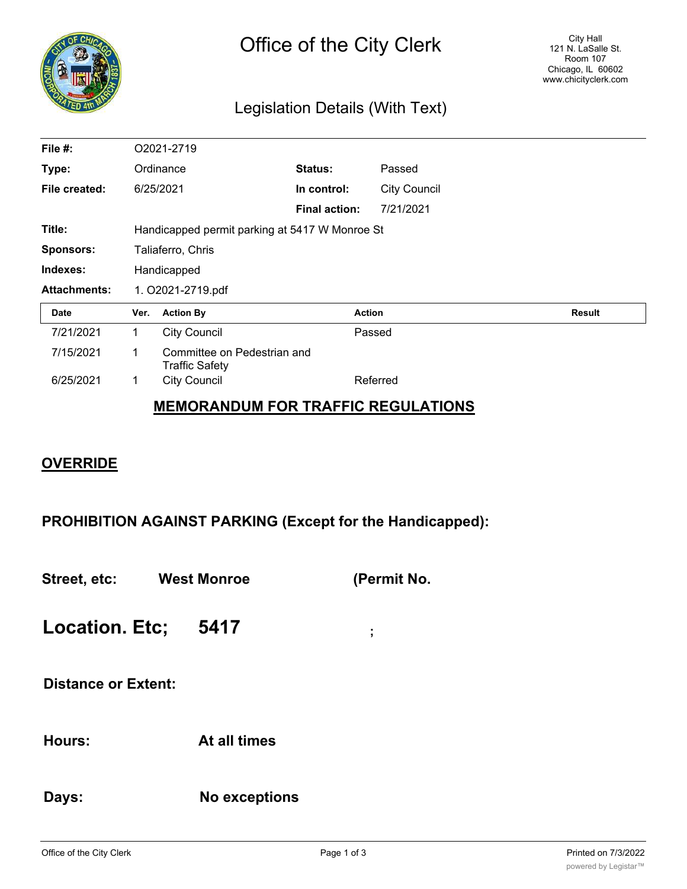

## Legislation Details (With Text)

| File #:             | O2021-2719                                     |                                                      |                      |                     |               |
|---------------------|------------------------------------------------|------------------------------------------------------|----------------------|---------------------|---------------|
| Type:               | Ordinance                                      |                                                      | Status:              | Passed              |               |
| File created:       |                                                | 6/25/2021                                            | In control:          | <b>City Council</b> |               |
|                     |                                                |                                                      | <b>Final action:</b> | 7/21/2021           |               |
| Title:              | Handicapped permit parking at 5417 W Monroe St |                                                      |                      |                     |               |
| <b>Sponsors:</b>    | Taliaferro, Chris                              |                                                      |                      |                     |               |
| Indexes:            | Handicapped                                    |                                                      |                      |                     |               |
| <b>Attachments:</b> | 1. O2021-2719.pdf                              |                                                      |                      |                     |               |
| <b>Date</b>         | Ver.                                           | <b>Action By</b>                                     |                      | <b>Action</b>       | <b>Result</b> |
| 7/21/2021           | 1.                                             | <b>City Council</b>                                  |                      | Passed              |               |
| 7/15/2021           | 1                                              | Committee on Pedestrian and<br><b>Traffic Safety</b> |                      |                     |               |
| 6/25/2021           | 1                                              | <b>City Council</b>                                  |                      | Referred            |               |
|                     |                                                |                                                      |                      |                     |               |

## **MEMORANDUM FOR TRAFFIC REGULATIONS**

## **OVERRIDE**

**PROHIBITION AGAINST PARKING (Except for the Handicapped):**

**Street, etc: West Monroe (Permit No.**

**Location. Etc; 5417 ;**

**Distance or Extent:**

**Hours: At all times**

**Days: No exceptions**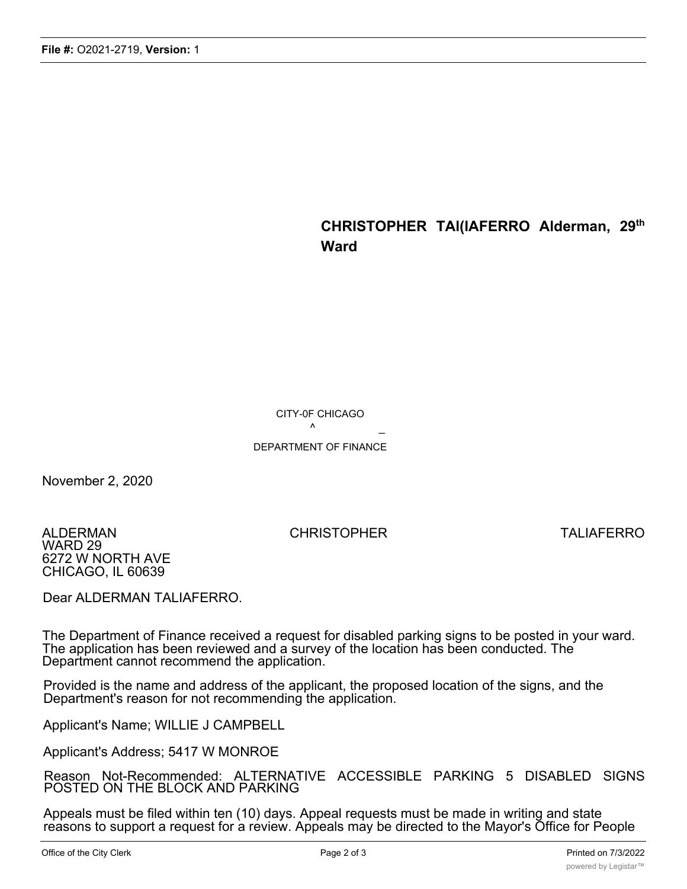## **CHRISTOPHER TAl(lAFERRO Alderman, 29th Ward**

CITY-0F CHICAGO

 $\sim$   $\sim$ 

DEPARTMENT OF FINANCE

November 2, 2020

ALDERMAN CHRISTOPHER TALIAFERRO WARD 29 6272 W NORTH AVE CHICAGO, IL 60639

Dear ALDERMAN TALIAFERRO.

The Department of Finance received a request for disabled parking signs to be posted in your ward. The application has been reviewed and a survey of the location has been conducted. The Department cannot recommend the application.

Provided is the name and address of the applicant, the proposed location of the signs, and the Department's reason for not recommending the application.

Applicant's Name; WILLIE J CAMPBELL

Applicant's Address; 5417 W MONROE

Reason Not-Recommended: ALTERNATIVE ACCESSIBLE PARKING 5 DISABLED SIGNS POSTED ON THE BLOCK AND PARKING

Appeals must be filed within ten (10) days. Appeal requests must be made in writing and state reasons to support a request for a review. Appeals may be directed to the Mayor's Office for People